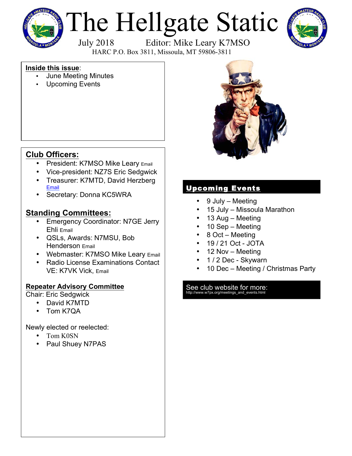

# The Hellgate Static



July 2018 Editor: Mike Leary K7MSO

HARC P.O. Box 3811, Missoula, MT 59806-3811

#### **Inside this issue**:

- June Meeting Minutes
- Upcoming Events



# **Club Officers:**

- President: K7MSO Mike Leary Email
- Vice-president: NZ7S Eric Sedgwick
- Treasurer: K7MTD, David Herzberg Email
- Secretary: Donna KC5WRA

### **Standing Committees:**

- Emergency Coordinator: N7GE Jerry Ehli Email
- QSLs, Awards: N7MSU, Bob Henderson Email
- Webmaster: K7MSO Mike Leary Email
- Radio License Examinations Contact VE: K7VK Vick, Email

#### **Repeater Advisory Committee**

Chair: Eric Sedgwick

- David K7MTD
- Tom K7QA

Newly elected or reelected:

- Tom K0SN
- Paul Shuey N7PAS

## Upcoming Events

- 9 July Meeting
- 15 July Missoula Marathon
- 13 Aug Meeting
- 10 Sep Meeting
- 8 Oct Meeting
- 19 / 21 Oct JOTA
- 12 Nov Meeting
- 1 / 2 Dec Skywarn
- 10 Dec Meeting / Christmas Party

# See club website for more:<br>http://www.w7px.org/meetings\_and\_events.html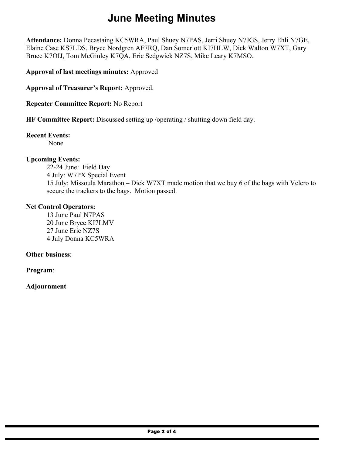# **June Meeting Minutes**

**Attendance:** Donna Pecastaing KC5WRA, Paul Shuey N7PAS, Jerri Shuey N7JGS, Jerry Ehli N7GE, Elaine Case KS7LDS, Bryce Nordgren AF7RQ, Dan Somerlott KI7HLW, Dick Walton W7XT, Gary Bruce K7OIJ, Tom McGinley K7QA, Eric Sedgwick NZ7S, Mike Leary K7MSO.

**Approval of last meetings minutes:** Approved

**Approval of Treasurer's Report:** Approved.

**Repeater Committee Report:** No Report

**HF Committee Report:** Discussed setting up /operating / shutting down field day.

#### **Recent Events:**

None

#### **Upcoming Events:**

22-24 June: Field Day 4 July: W7PX Special Event 15 July: Missoula Marathon – Dick W7XT made motion that we buy 6 of the bags with Velcro to secure the trackers to the bags. Motion passed.

#### **Net Control Operators:**

13 June Paul N7PAS 20 June Bryce KI7LMV 27 June Eric NZ7S 4 July Donna KC5WRA

#### **Other business**:

**Program**:

#### **Adjournment**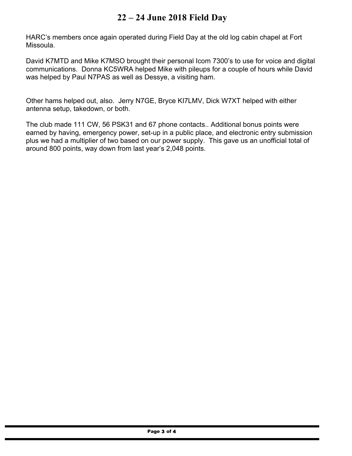# **22 – 24 June 2018 Field Day**

HARC's members once again operated during Field Day at the old log cabin chapel at Fort Missoula.

David K7MTD and Mike K7MSO brought their personal Icom 7300's to use for voice and digital communications. Donna KC5WRA helped Mike with pileups for a couple of hours while David was helped by Paul N7PAS as well as Dessye, a visiting ham.

Other hams helped out, also. Jerry N7GE, Bryce KI7LMV, Dick W7XT helped with either antenna setup, takedown, or both.

The club made 111 CW, 56 PSK31 and 67 phone contacts.. Additional bonus points were earned by having, emergency power, set-up in a public place, and electronic entry submission plus we had a multiplier of two based on our power supply. This gave us an unofficial total of around 800 points, way down from last year's 2,048 points.